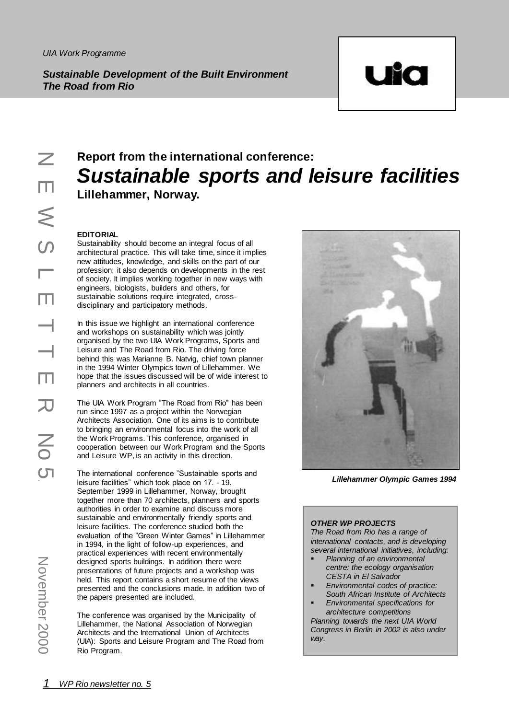*Sustainable Development of the Built Environment The Road from Rio*



#### **Report from the international conference:** *Sustainable sports and leisure facilities* **Lillehammer, Norway.**  $\mathcal{L}^{\mathcal{L}}$ Ĩ. Ч

# **EDITORIAL**

Sustainability should become an integral focus of all architectural practice. This will take time, since it implies new attitudes, knowledge, and skills on the part of our profession; it also depends on developments in the rest of society. It implies working together in new ways with engineers, biologists, builders and others, for sustainable solutions require integrated, crossdisciplinary and participatory methods.

In this issue we highlight an international conference and workshops on sustainability which was jointly organised by the two UIA Work Programs, Sports and Leisure and The Road from Rio. The driving force behind this was Marianne B. Natvig, chief town planner in the 1994 Winter Olympics town of Lillehammer. We hope that the issues discussed will be of wide interest to planners and architects in all countries.

The UIA Work Program "The Road from Rio" has been run since 1997 as a project within the Norwegian Architects Association. One of its aims is to contribute to bringing an environmental focus into the work of all the Work Programs. This conference, organised in cooperation between our Work Program and the Sports and Leisure WP, is an activity in this direction.

**EXECUTE AND AN EXECUTE SERVE AND SUSTAND**<br> **CONSTANT**<br> **CONSTANT**<br> **CONSTANT**<br> **CONSTANT**<br> **CONSTANT**<br> **CONSTANT**<br> **CONSTANT**<br> **CONSTANT**<br> **CONSTANT**<br> **CONSTANT**<br> **CONSTANT**<br> **CONSTANT**<br> **CONSTANT**<br> **CONSTANT**<br> **CONSTANT** The international conference "Sustainable sports and leisure facilities" which took place on 17. - 19. September 1999 in Lillehammer, Norway, brought together more than 70 architects, planners and sports authorities in order to examine and discuss more sustainable and environmentally friendly sports and leisure facilities. The conference studied both the evaluation of the "Green Winter Games" in Lillehammer in 1994, in the light of follow-up experiences, and practical experiences with recent environmentally designed sports buildings. In addition there were presentations of future projects and a workshop was held. This report contains a short resume of the views presented and the conclusions made. In addition two of the papers presented are included.

The conference was organised by the Municipality of Lillehammer, the National Association of Norwegian Architects and the International Union of Architects (UIA): Sports and Leisure Program and The Road from Rio Program.



**Lillehammer Olympic Games 1994** enammer Olympic Games 19

°H8aÁÁ ~ bŠ(¢

# **OTHER WP PROJECTS**

**The Road from Rio has a range of** international contacts, and is developing *international contacts, and is developing*<br>several international initiatives, including.

- *Planning of an environmental* centre: the ecology organisation 'A in El Salvador<br>Carl Antonio de Carl Alexandro de Carl Alexandro de Carl Alexandro de Carl Alexandro de Carl Alexandro de Carl *CESTA in El Salvador*
- *Environmental codes of practice:*<br>South African Institute of Architecta *South African Institute of Architects*
- South Affican firstitute of Afchite<br>■ Environmental specifications for àŠ¹E QE QE QE QE QE *architecture competitions* Planning towards the next UIA World Congress in Berlin in 2002 is also under *way.*

ŒBÑ÷+1 í¼äA+òœ°ã6!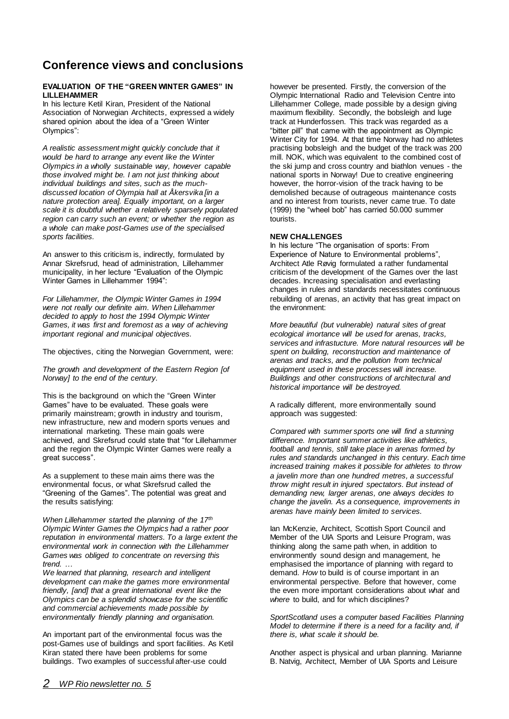# **Conference views and conclusions**

## **EVALUATION OF THE "GREEN WINTER GAMES" IN LILLEHAMMER**

In his lecture Ketil Kiran, President of the National Association of Norwegian Architects, expressed a widely shared opinion about the idea of a "Green Winter Olympics":

*A realistic assessment might quickly conclude that it would be hard to arrange any event like the Winter Olympics in a wholly sustainable way, however capable those involved might be. I am not just thinking about individual buildings and sites, such as the muchdiscussed location of Olympia hall at Åkersvika [in a nature protection area]. Equally important, on a larger scale it is doubtful whether a relatively sparsely populated region can carry such an event; or whether the region as a whole can make post-Games use of the specialised sports facilities.* 

An answer to this criticism is, indirectly, formulated by Annar Skrefsrud, head of administration, Lillehammer municipality, in her lecture "Evaluation of the Olympic Winter Games in Lillehammer 1994":

*For Lillehammer, the Olympic Winter Games in 1994 were not really our definite aim. When Lillehammer decided to apply to host the 1994 Olympic Winter Games, it was first and foremost as a way of achieving important regional and municipal objectives.* 

The objectives, citing the Norwegian Government, were:

*The growth and development of the Eastern Region [of Norway] to the end of the century.*

This is the background on which the "Green Winter Games" have to be evaluated. These goals were primarily mainstream; growth in industry and tourism, new infrastructure, new and modern sports venues and international marketing. These main goals were achieved, and Skrefsrud could state that "for Lillehammer and the region the Olympic Winter Games were really a great success".

As a supplement to these main aims there was the environmental focus, or what Skrefsrud called the "Greening of the Games". The potential was great and the results satisfying:

*When Lillehammer started the planning of the 17th Olympic Winter Games the Olympics had a rather poor reputation in environmental matters. To a large extent the environmental work in connection with the Lillehammer Games was obliged to concentrate on reversing this trend. …*

*We learned that planning, research and intelligent development can make the games more environmental friendly, [and] that a great international event like the Olympics can be a splendid showcase for the scientific and commercial achievements made possible by environmentally friendly planning and organisation.*

An important part of the environmental focus was the post-Games use of buildings and sport facilities. As Ketil Kiran stated there have been problems for some buildings. Two examples of successful after-use could

however be presented. Firstly, the conversion of the Olympic International Radio and Television Centre into Lillehammer College, made possible by a design giving maximum flexibility. Secondly, the bobsleigh and luge track at Hunderfossen. This track was regarded as a "bitter pill" that came with the appointment as Olympic Winter City for 1994. At that time Norway had no athletes practising bobsleigh and the budget of the track was 200 mill. NOK, which was equivalent to the combined cost of the ski jump and cross country and biathlon venues - the national sports in Norway! Due to creative engineering however, the horror-vision of the track having to be demolished because of outrageous maintenance costs and no interest from tourists, never came true. To date (1999) the "wheel bob" has carried 50.000 summer tourists.

# **NEW CHALLENGES**

In his lecture "The organisation of sports: From Experience of Nature to Environmental problems", Architect Atle Røvig formulated a rather fundamental criticism of the development of the Games over the last decades. Increasing specialisation and everlasting changes in rules and standards necessitates continuous rebuilding of arenas, an activity that has great impact on the environment:

*More beautiful (but vulnerable) natural sites of great ecological imortance will be used for arenas, tracks, services and infrastucture. More natural resources will be spent on building, reconstruction and maintenance of arenas and tracks, and the pollution from technical equipment used in these processes will increase. Buildings and other constructions of architectural and historical importance will be destroyed.*

A radically different, more environmentally sound approach was suggested:

*Compared with summer sports one will find a stunning difference. Important summer activities like athletics, football and tennis, still take place in arenas formed by rules and standards unchanged in this century. Each time increased training makes it possible for athletes to throw a javelin more than one hundred metres, a successful throw might result in injured spectators. But instead of demanding new, larger arenas, one always decides to change the javelin. As a consequence, improvements in arenas have mainly been limited to services.* 

Ian McKenzie, Architect, Scottish Sport Council and Member of the UIA Sports and Leisure Program, was thinking along the same path when, in addition to environmently sound design and management, he emphasised the importance of planning with regard to demand. *How* to build is of course important in an environmental perspective. Before that however, come the even more important considerations about *what* and *where* to build, and for which disciplines?

*SportScotland uses a computer based Facilities Planning Model to determine if there is a need for a facility and, if there is, what scale it should be.*

Another aspect is physical and urban planning. Marianne B. Natvig, Architect, Member of UIA Sports and Leisure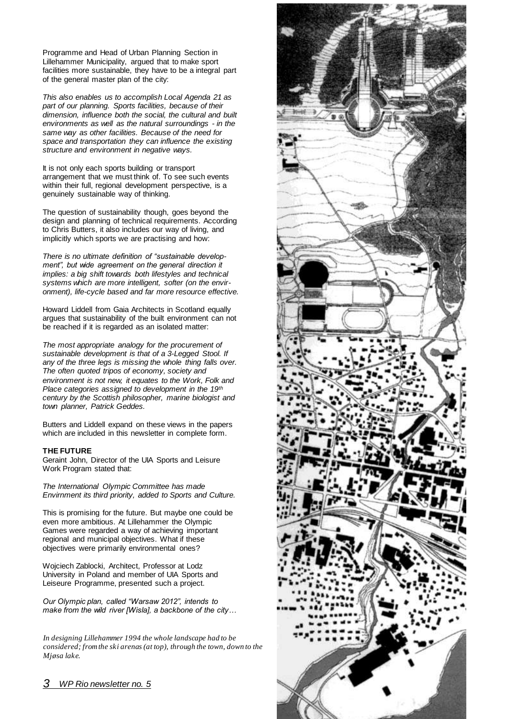Programme and Head of Urban Planning Section in Lillehammer Municipality, argued that to make sport facilities more sustainable, they have to be a integral part of the general master plan of the city:

*This also enables us to accomplish Local Agenda 21 as part of our planning. Sports facilities, because of their dimension, influence both the social, the cultural and built environments as well as the natural surroundings - in the same way as other facilities. Because of the need for space and transportation they can influence the existing structure and environment in negative ways.*

It is not only each sports building or transport arrangement that we must think of. To see such events within their full, regional development perspective, is a genuinely sustainable way of thinking.

The question of sustainability though, goes beyond the design and planning of technical requirements. According to Chris Butters, it also includes our way of living, and implicitly which sports we are practising and how:

*There is no ultimate definition of "sustainable development", but wide agreement on the general direction it implies: a big shift towards both lifestyles and technical systems which are more intelligent, softer (on the environment), life-cycle based and far more resource effective.* 

Howard Liddell from Gaia Architects in Scotland equally argues that sustainability of the built environment can not be reached if it is regarded as an isolated matter:

*The most appropriate analogy for the procurement of sustainable development is that of a 3-Legged Stool. If any of the three legs is missing the whole thing falls over. The often quoted tripos of economy, society and environment is not new, it equates to the Work, Folk and Place categories assigned to development in the 19th century by the Scottish philosopher, marine biologist and town planner, Patrick Geddes.*

Butters and Liddell expand on these views in the papers which are included in this newsletter in complete form.

## **THE FUTURE**

Geraint John, Director of the UIA Sports and Leisure Work Program stated that:

*The International Olympic Committee has made Envirnment its third priority, added to Sports and Culture.*

This is promising for the future. But maybe one could be even more ambitious. At Lillehammer the Olympic Games were regarded a way of achieving important regional and municipal objectives. What if these objectives were primarily environmental ones?

Wojciech Zablocki, Architect, Professor at Lodz University in Poland and member of UIA Sports and Leiseure Programme, presented such a project.

*Our Olympic plan, called "Warsaw 2012", intends to make from the wild river [Wisla], a backbone of the city…* 

*In designing Lillehammer 1994 the whole landscape had to be considered; from the ski arenas (at top), through the town, down to the Mjøsa lake.*

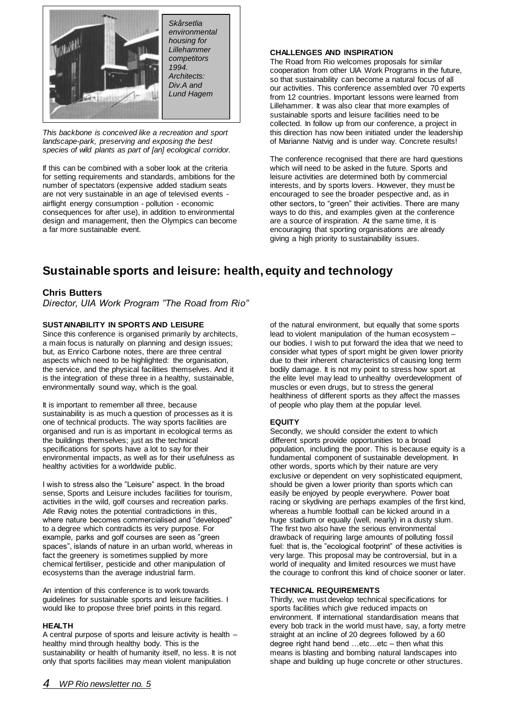

*This backbone is conceived like a recreation and sport landscape-park, preserving and exposing the best species of wild plants as part of [an] ecological corridor.*

If this can be combined with a sober look at the criteria for setting requirements and standards, ambitions for the number of spectators (expensive added stadium seats are not very sustainable in an age of televised events airflight energy consumption - pollution - economic consequences for after use), in addition to environmental design and management, then the Olympics can become a far more sustainable event.

# **CHALLENGES AND INSPIRATION**

The Road from Rio welcomes proposals for similar cooperation from other UIA Work Programs in the future, so that sustainability can become a natural focus of all our activities. This conference assembled over 70 experts from 12 countries. Important lessons were learned from Lillehammer. It was also clear that more examples of sustainable sports and leisure facilities need to be collected. In follow up from our conference, a project in this direction has now been initiated under the leadership of Marianne Natvig and is under way. Concrete results!

The conference recognised that there are hard questions which will need to be asked in the future. Sports and leisure activities are determined both by commercial interests, and by sports lovers. However, they must be encouraged to see the broader pespective and, as in other sectors, to "green" their activities. There are many ways to do this, and examples given at the conference are a source of inspiration. At the same time, it is encouraging that sporting organisations are already giving a high priority to sustainability issues.

# **Sustainable sports and leisure: health, equity and technology**

# **Chris Butters**

*Director, UIA Work Program "The Road from Rio"*

# **SUSTAINABILITY IN SPORTS AND LEISURE**

Since this conference is organised primarily by architects, a main focus is naturally on planning and design issues; but, as Enrico Carbone notes, there are three central aspects which need to be highlighted: the organisation, the service, and the physical facilities themselves. And it is the integration of these three in a healthy, sustainable, environmentally sound way, which is the goal.

It is important to remember all three, because sustainability is as much a question of processes as it is one of technical products. The way sports facilities are organised and run is as important in ecological terms as the buildings themselves; just as the technical specifications for sports have a lot to say for their environmental impacts, as well as for their usefulness as healthy activities for a worldwide public.

I wish to stress also the "Leisure" aspect. In the broad sense, Sports and Leisure includes facilities for tourism, activities in the wild, golf courses and recreation parks. Atle Røvig notes the potential contradictions in this, where nature becomes commercialised and "developed" to a degree which contradicts its very purpose. For example, parks and golf courses are seen as "green spaces", islands of nature in an urban world, whereas in fact the greenery is sometimes supplied by more chemical fertiliser, pesticide and other manipulation of ecosystems than the average industrial farm.

An intention of this conference is to work towards guidelines for sustainable sports and leisure facilities. I would like to propose three brief points in this regard.

## **HEALTH**

A central purpose of sports and leisure activity is health – healthy mind through healthy body. This is the sustainability or health of humanity itself, no less. It is not only that sports facilities may mean violent manipulation

of the natural environment, but equally that some sports lead to violent manipulation of the human ecosystem – our bodies. I wish to put forward the idea that we need to consider what types of sport might be given lower priority due to their inherent characteristics of causing long term bodily damage. It is not my point to stress how sport at the elite level may lead to unhealthy overdevelopment of muscles or even drugs, but to stress the general healthiness of different sports as they affect the masses of people who play them at the popular level.

## **EQUITY**

Secondly, we should consider the extent to which different sports provide opportunities to a broad population, including the poor. This is because equity is a fundamental component of sustainable development. In other words, sports which by their nature are very exclusive or dependent on very sophisticated equipment, should be given a lower priority than sports which can easily be enjoyed by people everywhere. Power boat racing or skydiving are perhaps examples of the first kind, whereas a humble football can be kicked around in a huge stadium or equally (well, nearly) in a dusty slum. The first two also have the serious environmental drawback of requiring large amounts of polluting fossil fuel: that is, the "ecological footprint" of these activities is very large. This proposal may be controversial, but in a world of inequality and limited resources we must have the courage to confront this kind of choice sooner or later.

## **TECHNICAL REQUIREMENTS**

Thirdly, we must develop technical specifications for sports facilities which give reduced impacts on environment. If international standardisation means that every bob track in the world must have, say, a forty metre straight at an incline of 20 degrees followed by a 60 degree right hand bend …etc…etc – then what this means is blasting and bombing natural landscapes into shape and building up huge concrete or other structures.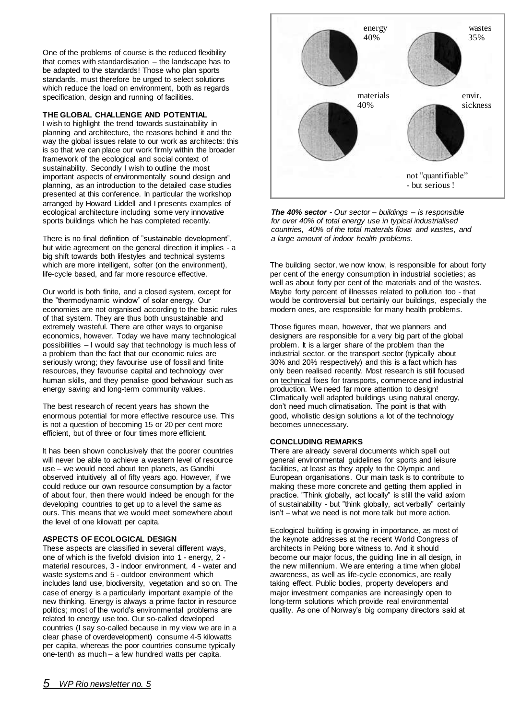One of the problems of course is the reduced flexibility that comes with standardisation – the landscape has to be adapted to the standards! Those who plan sports standards, must therefore be urged to select solutions which reduce the load on environment, both as regards specification, design and running of facilities.

## **THE GLOBAL CHALLENGE AND POTENTIAL**

I wish to highlight the trend towards sustainability in planning and architecture, the reasons behind it and the way the global issues relate to our work as architects: this is so that we can place our work firmly within the broader framework of the ecological and social context of sustainability. Secondly I wish to outline the most important aspects of environmentally sound design and planning, as an introduction to the detailed case studies presented at this conference. In particular the workshop arranged by Howard Liddell and I presents examples of ecological architecture including some very innovative sports buildings which he has completed recently.

There is no final definition of "sustainable development", but wide agreement on the general direction it implies - a big shift towards both lifestyles and technical systems which are more intelligent, softer (on the environment), life-cycle based, and far more resource effective.

Our world is both finite, and a closed system, except for the "thermodynamic window" of solar energy. Our economies are not organised according to the basic rules of that system. They are thus both unsustainable and extremely wasteful. There are other ways to organise economics, however. Today we have many technological possibilities – I would say that technology is much less of a problem than the fact that our economic rules are seriously wrong; they favourise use of fossil and finite resources, they favourise capital and technology over human skills, and they penalise good behaviour such as energy saving and long-term community values.

The best research of recent years has shown the enormous potential for more effective resource use. This is not a question of becoming 15 or 20 per cent more efficient, but of three or four times more efficient.

It has been shown conclusively that the poorer countries will never be able to achieve a western level of resource use – we would need about ten planets, as Gandhi observed intuitively all of fifty years ago. However, if we could reduce our own resource consumption by a factor of about four, then there would indeed be enough for the developing countries to get up to a level the same as ours. This means that we would meet somewhere about the level of one kilowatt per capita.

## **ASPECTS OF ECOLOGICAL DESIGN**

These aspects are classified in several different ways, one of which is the fivefold division into 1 - energy, 2 material resources, 3 - indoor environment, 4 - water and waste systems and 5 - outdoor environment which includes land use, biodiversity, vegetation and so on. The case of energy is a particularly important example of the new thinking. Energy is always a prime factor in resource politics; most of the world's environmental problems are related to energy use too. Our so-called developed countries (I say so-called because in my view we are in a clear phase of overdevelopment) consume 4-5 kilowatts per capita, whereas the poor countries consume typically one-tenth as much – a few hundred watts per capita.



*The 40% sector - Our sector – buildings – is responsible for over 40% of total energy use in typical industrialised countries, 40% of the total materals flows and wastes, and a large amount of indoor health problems.* 

The building sector, we now know, is responsible for about forty per cent of the energy consumption in industrial societies; as well as about forty per cent of the materials and of the wastes. Maybe forty percent of illnesses related to pollution too - that would be controversial but certainly our buildings, especially the modern ones, are responsible for many health problems.

Those figures mean, however, that we planners and designers are responsible for a very big part of the global problem. It is a larger share of the problem than the industrial sector, or the transport sector (typically about 30% and 20% respectively) and this is a fact which has only been realised recently. Most research is still focused on technical fixes for transports, commerce and industrial production. We need far more attention to design! Climatically well adapted buildings using natural energy, don't need much climatisation. The point is that with good, wholistic design solutions a lot of the technology becomes unnecessary.

# **CONCLUDING REMARKS**

There are already several documents which spell out general environmental guidelines for sports and leisure facilities, at least as they apply to the Olympic and European organisations. Our main task is to contribute to making these more concrete and getting them applied in practice. "Think globally, act locally" is still the valid axiom of sustainability - but "think globally, act verbally" certainly isn't – what we need is not more talk but more action.

Ecological building is growing in importance, as most of the keynote addresses at the recent World Congress of architects in Peking bore witness to. And it should become our major focus, the guiding line in all design, in the new millennium. We are entering a time when global awareness, as well as life-cycle economics, are really taking effect. Public bodies, property developers and major investment companies are increasingly open to long-term solutions which provide real environmental quality. As one of Norway's big company directors said at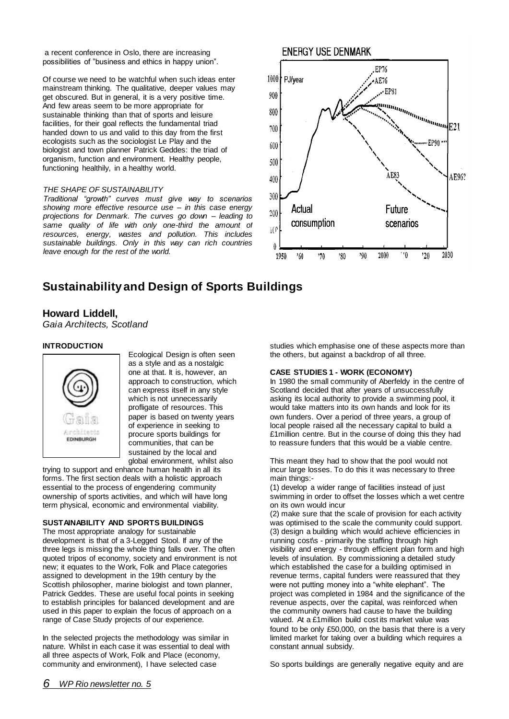a recent conference in Oslo, there are increasing possibilities of "business and ethics in happy union".

Of course we need to be watchful when such ideas enter mainstream thinking. The qualitative, deeper values may get obscured. But in general, it is a very positive time. And few areas seem to be more appropriate for sustainable thinking than that of sports and leisure facilities, for their goal reflects the fundamental triad handed down to us and valid to this day from the first ecologists such as the sociologist Le Play and the biologist and town planner Patrick Geddes: the triad of organism, function and environment. Healthy people, functioning healthily, in a healthy world.

## *THE SHAPE OF SUSTAINABILITY*

*Traditional "growth" curves must give way to scenarios showing more effective resource use – in this case energy projections for Denmark. The curves go down – leading to*  same quality of life with only one-third the amount of *resources, energy, wastes and pollution. This includes sustainable buildings. Only in this way can rich countries leave enough for the rest of the world.*



# **Sustainability and Design of Sports Buildings**

# **Howard Liddell,**

*Gaia Architects, Scotland*

## **INTRODUCTION**



Ecological Design is often seen as a style and as a nostalgic one at that. It is, however, an approach to construction, which can express itself in any style which is not unnecessarily profligate of resources. This paper is based on twenty years of experience in seeking to procure sports buildings for communities, that can be sustained by the local and global environment, whilst also

trying to support and enhance human health in all its forms. The first section deals with a holistic approach essential to the process of engendering community ownership of sports activities, and which will have long term physical, economic and environmental viability.

# **SUSTAINABILITY AND SPORTS BUILDINGS**

The most appropriate analogy for sustainable development is that of a 3-Legged Stool. If any of the three legs is missing the whole thing falls over. The often quoted tripos of economy, society and environment is not new; it equates to the Work, Folk and Place categories assigned to development in the 19th century by the Scottish philosopher, marine biologist and town planner, Patrick Geddes. These are useful focal points in seeking to establish principles for balanced development and are used in this paper to explain the focus of approach on a range of Case Study projects of our experience.

In the selected projects the methodology was similar in nature. Whilst in each case it was essential to deal with all three aspects of Work, Folk and Place (economy, community and environment), I have selected case

studies which emphasise one of these aspects more than the others, but against a backdrop of all three.

## **CASE STUDIES 1 - WORK (ECONOMY)**

In 1980 the small community of Aberfeldy in the centre of Scotland decided that after years of unsuccessfully asking its local authority to provide a swimming pool, it would take matters into its own hands and look for its own funders. Over a period of three years, a group of local people raised all the necessary capital to build a £1million centre. But in the course of doing this they had to reassure funders that this would be a viable centre.

This meant they had to show that the pool would not incur large losses. To do this it was necessary to three main things:-

(1) develop a wider range of facilities instead of just swimming in order to offset the losses which a wet centre on its own would incur

(2) make sure that the scale of provision for each activity was optimised to the scale the community could support. (3) design a building which would achieve efficiencies in running cost\s - primarily the staffing through high visibility and energy - through efficient plan form and high levels of insulation. By commissioning a detailed study which established the case for a building optimised in revenue terms, capital funders were reassured that they were not putting money into a "white elephant". The project was completed in 1984 and the significance of the revenue aspects, over the capital, was reinforced when the community owners had cause to have the building valued. At a £1million build cost its market value was found to be only £50,000, on the basis that there is a very limited market for taking over a building which requires a constant annual subsidy.

So sports buildings are generally negative equity and are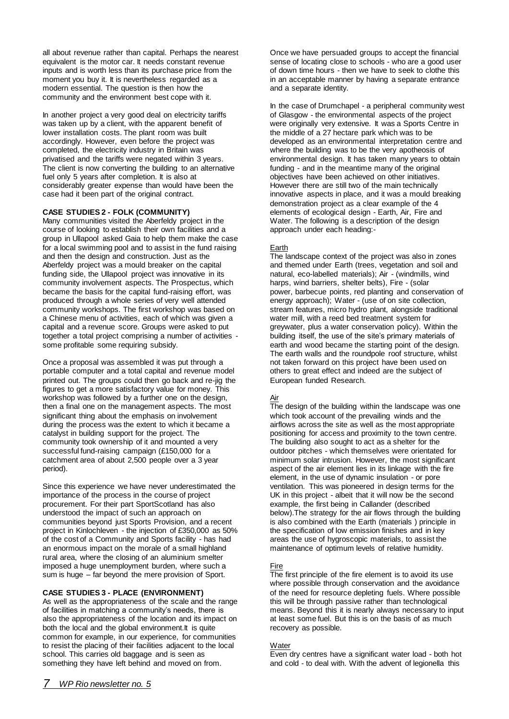all about revenue rather than capital. Perhaps the nearest equivalent is the motor car. It needs constant revenue inputs and is worth less than its purchase price from the moment you buy it. It is nevertheless regarded as a modern essential. The question is then how the community and the environment best cope with it.

In another project a very good deal on electricity tariffs was taken up by a client, with the apparent benefit of lower installation costs. The plant room was built accordingly. However, even before the project was completed, the electricity industry in Britain was privatised and the tariffs were negated within 3 years. The client is now converting the building to an alternative fuel only 5 years after completion. It is also at considerably greater expense than would have been the case had it been part of the original contract.

# **CASE STUDIES 2 - FOLK (COMMUNITY)**

Many communities visited the Aberfeldy project in the course of looking to establish their own facilities and a group in Ullapool asked Gaia to help them make the case for a local swimming pool and to assist in the fund raising and then the design and construction. Just as the Aberfeldy project was a mould breaker on the capital funding side, the Ullapool project was innovative in its community involvement aspects. The Prospectus, which became the basis for the capital fund-raising effort, was produced through a whole series of very well attended community workshops. The first workshop was based on a Chinese menu of activities, each of which was given a capital and a revenue score. Groups were asked to put together a total project comprising a number of activities some profitable some requiring subsidy.

Once a proposal was assembled it was put through a portable computer and a total capital and revenue model printed out. The groups could then go back and re-jig the figures to get a more satisfactory value for money. This workshop was followed by a further one on the design, then a final one on the management aspects. The most significant thing about the emphasis on involvement during the process was the extent to which it became a catalyst in building support for the project. The community took ownership of it and mounted a very successful fund-raising campaign (£150,000 for a catchment area of about 2,500 people over a 3 year period).

Since this experience we have never underestimated the importance of the process in the course of project procurement. For their part SportScotland has also understood the impact of such an approach on communities beyond just Sports Provision, and a recent project in Kinlochleven - the injection of £350,000 as 50% of the cost of a Community and Sports facility - has had an enormous impact on the morale of a small highland rural area, where the closing of an aluminium smelter imposed a huge unemployment burden, where such a sum is huge – far beyond the mere provision of Sport.

# **CASE STUDIES 3 - PLACE (ENVIRONMENT)**

As well as the appropriateness of the scale and the range of facilities in matching a community's needs, there is also the appropriateness of the location and its impact on both the local and the global environment.It is quite common for example, in our experience, for communities to resist the placing of their facilities adjacent to the local school. This carries old baggage and is seen as something they have left behind and moved on from.

Once we have persuaded groups to accept the financial sense of locating close to schools - who are a good user of down time hours - then we have to seek to clothe this in an acceptable manner by having a separate entrance and a separate identity.

In the case of Drumchapel - a peripheral community west of Glasgow - the environmental aspects of the project were originally very extensive. It was a Sports Centre in the middle of a 27 hectare park which was to be developed as an environmental interpretation centre and where the building was to be the very apotheosis of environmental design. It has taken many years to obtain funding - and in the meantime many of the original objectives have been achieved on other initiatives. However there are still two of the main technically innovative aspects in place, and it was a mould breaking demonstration project as a clear example of the 4 elements of ecological design - Earth, Air, Fire and Water. The following is a description of the design approach under each heading:-

# **Earth**

The landscape context of the project was also in zones and themed under Earth (trees, vegetation and soil and natural, eco-labelled materials); Air - (windmills, wind harps, wind barriers, shelter belts), Fire - (solar power, barbecue points, red planting and conservation of energy approach); Water - (use of on site collection, stream features, micro hydro plant, alongside traditional water mill, with a reed bed treatment system for greywater, plus a water conservation policy). Within the building itself, the use of the site's primary materials of earth and wood became the starting point of the design. The earth walls and the roundpole roof structure, whilst not taken forward on this project have been used on others to great effect and indeed are the subject of European funded Research.

# Air

The design of the building within the landscape was one which took account of the prevailing winds and the airflows across the site as well as the most appropriate positioning for access and proximity to the town centre. The building also sought to act as a shelter for the outdoor pitches - which themselves were orientated for minimum solar intrusion. However, the most significant aspect of the air element lies in its linkage with the fire element, in the use of dynamic insulation - or pore ventilation. This was pioneered in design terms for the UK in this project - albeit that it will now be the second example, the first being in Callander (described below).The strategy for the air flows through the building is also combined with the Earth (materials ) principle in the specification of low emission finishes and in key areas the use of hygroscopic materials, to assist the maintenance of optimum levels of relative humidity.

# Fire

The first principle of the fire element is to avoid its use where possible through conservation and the avoidance of the need for resource depleting fuels. Where possible this will be through passive rather than technological means. Beyond this it is nearly always necessary to input at least some fuel. But this is on the basis of as much recovery as possible.

## **Water**

Even dry centres have a significant water load - both hot and cold - to deal with. With the advent of legionella this